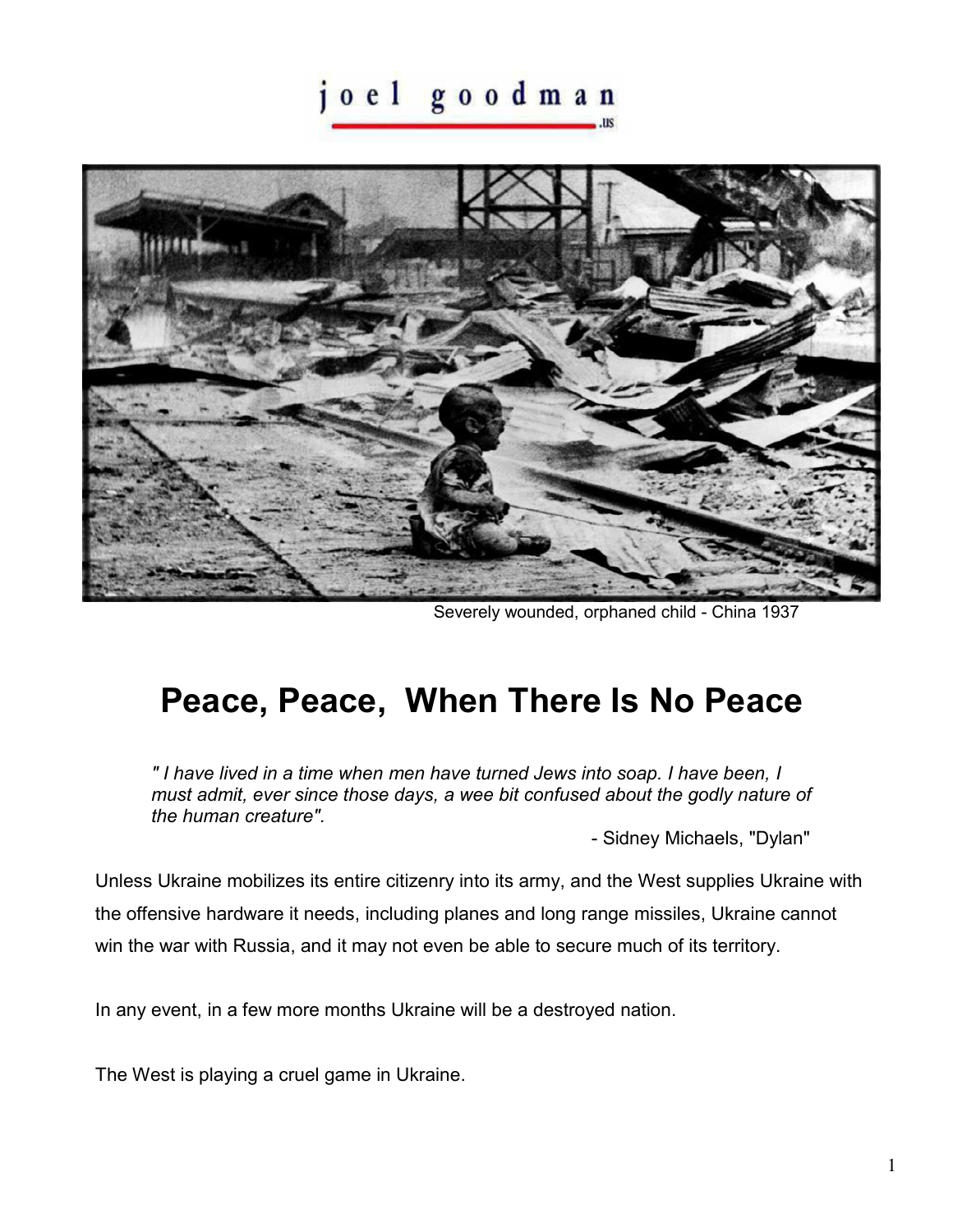## joel goodman



Severely wounded, orphaned child - China 1937

## **Peace, Peace, When There Is No Peace**

*" I have lived in a time when men have turned Jews into soap. I have been, I must admit, ever since those days, a wee bit confused about the godly nature of the human creature".* 

- Sidney Michaels, "Dylan"

Unless Ukraine mobilizes its entire citizenry into its army, and the West supplies Ukraine with the offensive hardware it needs, including planes and long range missiles, Ukraine cannot win the war with Russia, and it may not even be able to secure much of its territory.

In any event, in a few more months Ukraine will be a destroyed nation.

The West is playing a cruel game in Ukraine.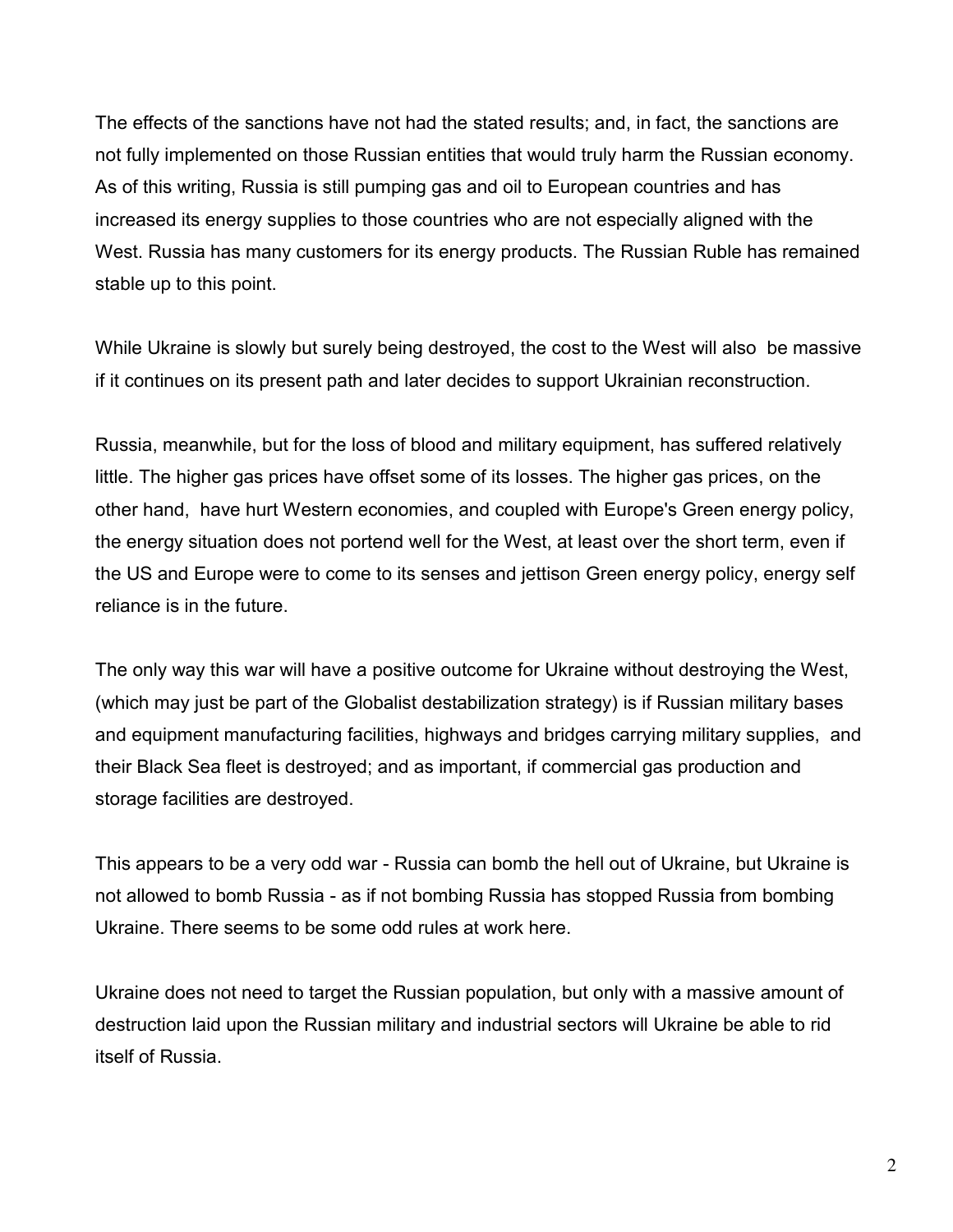The effects of the sanctions have not had the stated results; and, in fact, the sanctions are not fully implemented on those Russian entities that would truly harm the Russian economy. As of this writing, Russia is still pumping gas and oil to European countries and has increased its energy supplies to those countries who are not especially aligned with the West. Russia has many customers for its energy products. The Russian Ruble has remained stable up to this point.

While Ukraine is slowly but surely being destroyed, the cost to the West will also be massive if it continues on its present path and later decides to support Ukrainian reconstruction.

Russia, meanwhile, but for the loss of blood and military equipment, has suffered relatively little. The higher gas prices have offset some of its losses. The higher gas prices, on the other hand, have hurt Western economies, and coupled with Europe's Green energy policy, the energy situation does not portend well for the West, at least over the short term, even if the US and Europe were to come to its senses and jettison Green energy policy, energy self reliance is in the future.

The only way this war will have a positive outcome for Ukraine without destroying the West, (which may just be part of the Globalist destabilization strategy) is if Russian military bases and equipment manufacturing facilities, highways and bridges carrying military supplies, and their Black Sea fleet is destroyed; and as important, if commercial gas production and storage facilities are destroyed.

This appears to be a very odd war - Russia can bomb the hell out of Ukraine, but Ukraine is not allowed to bomb Russia - as if not bombing Russia has stopped Russia from bombing Ukraine. There seems to be some odd rules at work here.

Ukraine does not need to target the Russian population, but only with a massive amount of destruction laid upon the Russian military and industrial sectors will Ukraine be able to rid itself of Russia.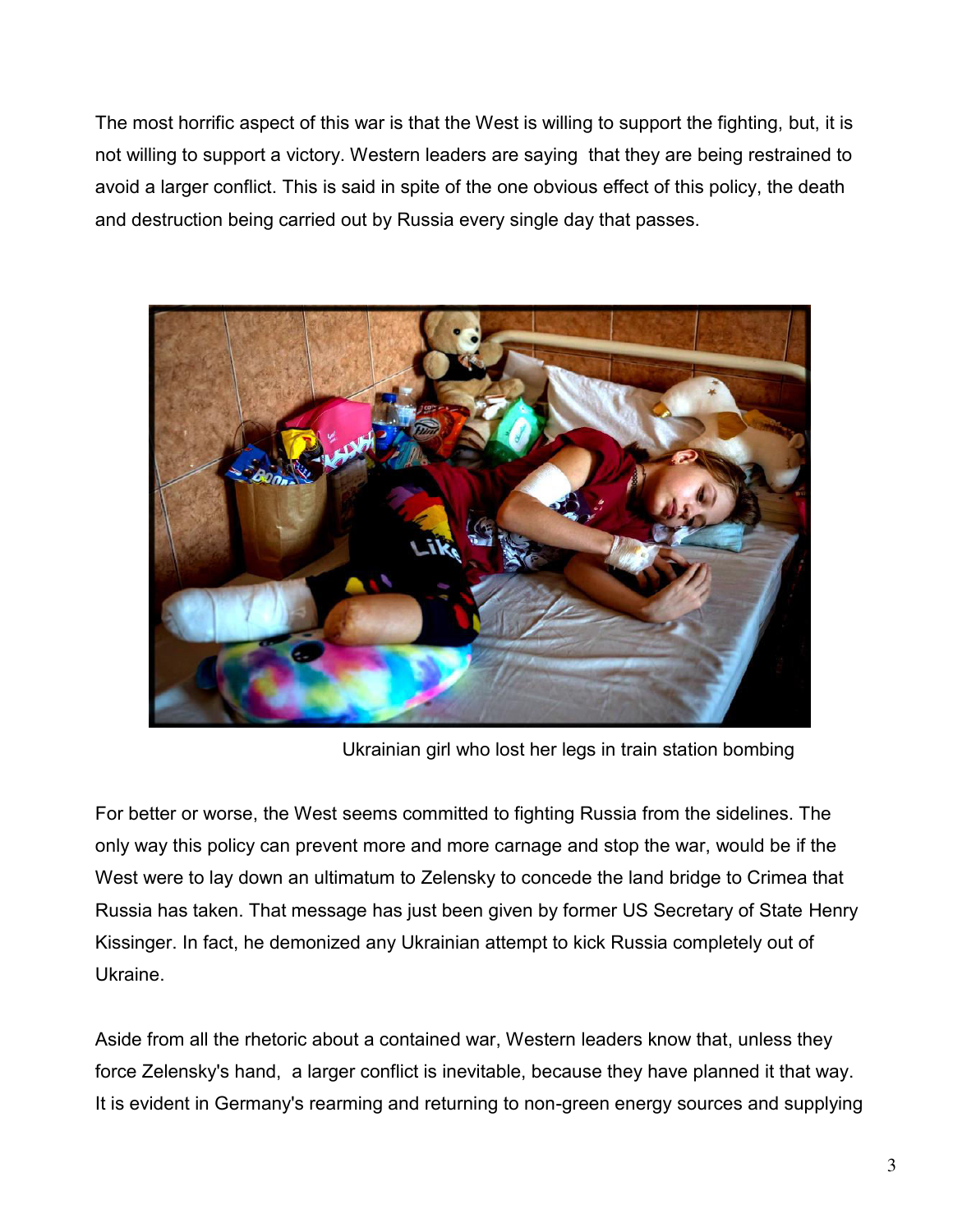The most horrific aspect of this war is that the West is willing to support the fighting, but, it is not willing to support a victory. Western leaders are saying that they are being restrained to avoid a larger conflict. This is said in spite of the one obvious effect of this policy, the death and destruction being carried out by Russia every single day that passes.



Ukrainian girl who lost her legs in train station bombing

For better or worse, the West seems committed to fighting Russia from the sidelines. The only way this policy can prevent more and more carnage and stop the war, would be if the West were to lay down an ultimatum to Zelensky to concede the land bridge to Crimea that Russia has taken. That message has just been given by former US Secretary of State Henry Kissinger. In fact, he demonized any Ukrainian attempt to kick Russia completely out of Ukraine.

Aside from all the rhetoric about a contained war, Western leaders know that, unless they force Zelensky's hand, a larger conflict is inevitable, because they have planned it that way. It is evident in Germany's rearming and returning to non-green energy sources and supplying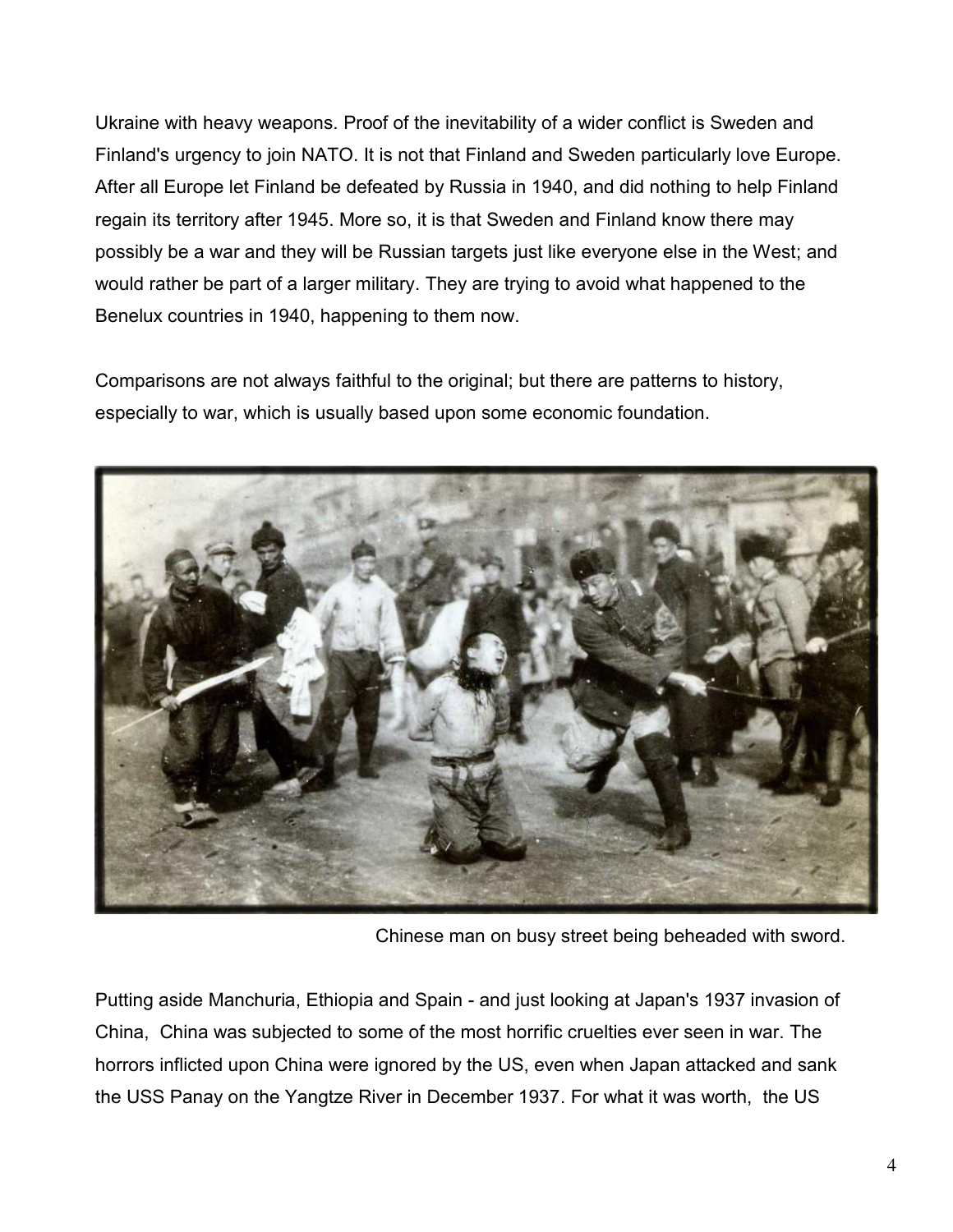Ukraine with heavy weapons. Proof of the inevitability of a wider conflict is Sweden and Finland's urgency to join NATO. It is not that Finland and Sweden particularly love Europe. After all Europe let Finland be defeated by Russia in 1940, and did nothing to help Finland regain its territory after 1945. More so, it is that Sweden and Finland know there may possibly be a war and they will be Russian targets just like everyone else in the West; and would rather be part of a larger military. They are trying to avoid what happened to the Benelux countries in 1940, happening to them now.

Comparisons are not always faithful to the original; but there are patterns to history, especially to war, which is usually based upon some economic foundation.



Chinese man on busy street being beheaded with sword.

Putting aside Manchuria, Ethiopia and Spain - and just looking at Japan's 1937 invasion of China, China was subjected to some of the most horrific cruelties ever seen in war. The horrors inflicted upon China were ignored by the US, even when Japan attacked and sank the USS Panay on the Yangtze River in December 1937. For what it was worth, the US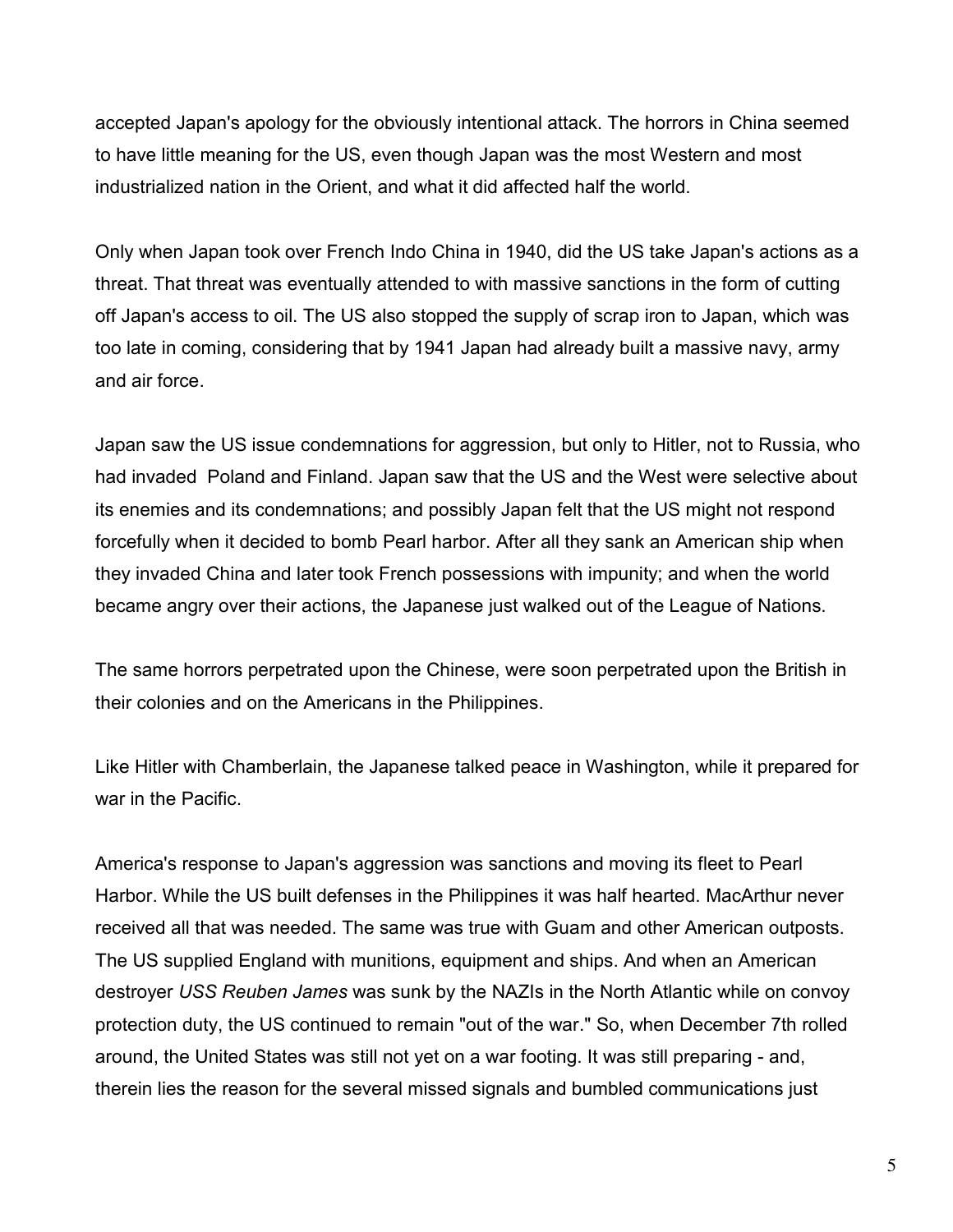accepted Japan's apology for the obviously intentional attack. The horrors in China seemed to have little meaning for the US, even though Japan was the most Western and most industrialized nation in the Orient, and what it did affected half the world.

Only when Japan took over French Indo China in 1940, did the US take Japan's actions as a threat. That threat was eventually attended to with massive sanctions in the form of cutting off Japan's access to oil. The US also stopped the supply of scrap iron to Japan, which was too late in coming, considering that by 1941 Japan had already built a massive navy, army and air force.

Japan saw the US issue condemnations for aggression, but only to Hitler, not to Russia, who had invaded Poland and Finland. Japan saw that the US and the West were selective about its enemies and its condemnations; and possibly Japan felt that the US might not respond forcefully when it decided to bomb Pearl harbor. After all they sank an American ship when they invaded China and later took French possessions with impunity; and when the world became angry over their actions, the Japanese just walked out of the League of Nations.

The same horrors perpetrated upon the Chinese, were soon perpetrated upon the British in their colonies and on the Americans in the Philippines.

Like Hitler with Chamberlain, the Japanese talked peace in Washington, while it prepared for war in the Pacific.

America's response to Japan's aggression was sanctions and moving its fleet to Pearl Harbor. While the US built defenses in the Philippines it was half hearted. MacArthur never received all that was needed. The same was true with Guam and other American outposts. The US supplied England with munitions, equipment and ships. And when an American destroyer *[USS Reuben](http://en.wikipedia.org/wiki/USS_Reuben_James_(DD-245)) James* was sunk by the NAZIs in the North Atlantic while on convoy protection duty, the US continued to remain "out of the war." So, when December 7th rolled around, the United States was still not yet on a war footing. It was still preparing - and, therein lies the reason for the several missed signals and bumbled communications just